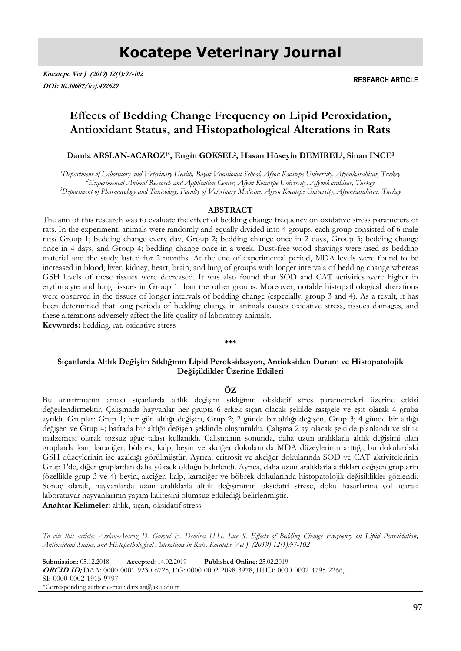# **Kocatepe Veterinary Journal**

**Kocatepe Vet J (2019) 12(1):97-102 DOI: 10.30607/kvj.492629**

**RESEARCH ARTICLE**

## **Effects of Bedding Change Frequency on Lipid Peroxidation, Antioxidant Status, and Histopathological Alterations in Rats**

**Damla ARSLAN-ACAROZ1\*, Engin GOKSEL<sup>2</sup> , Hasan Hüseyin DEMIREL<sup>1</sup> , Sinan INCE<sup>3</sup>**

*<sup>1</sup>Department of Laboratory and Veterinary Health, Bayat Vocational School, Afyon Kocatepe University, Afyonkarahisar, Turkey <sup>2</sup>Experimental Animal Research and Application Center, Afyon Kocatepe University, Afyonkarahisar, Turkey <sup>3</sup>Department of Pharmacology and Toxicology, Faculty of Veterinary Medicine, Afyon Kocatepe University, Afyonkarahisar, Turkey* 

#### **ABSTRACT**

The aim of this research was to evaluate the effect of bedding change frequency on oxidative stress parameters of rats. In the experiment; animals were randomly and equally divided into 4 groups, each group consisted of 6 male rats. Group 1; bedding change every day, Group 2; bedding change once in 2 days, Group 3; bedding change once in 4 days, and Group 4; bedding change once in a week. Dust-free wood shavings were used as bedding material and the study lasted for 2 months. At the end of experimental period, MDA levels were found to be increased in blood, liver, kidney, heart, brain, and lung of groups with longer intervals of bedding change whereas GSH levels of these tissues were decreased. It was also found that SOD and CAT activities were higher in erythrocyte and lung tissues in Group 1 than the other groups. Moreover, notable histopathological alterations were observed in the tissues of longer intervals of bedding change (especially, group 3 and 4). As a result, it has been determined that long periods of bedding change in animals causes oxidative stress, tissues damages, and these alterations adversely affect the life quality of laboratory animals. **Keywords:** bedding, rat, oxidative stress

#### **\*\*\***

### **Sıçanlarda Altlık Değişim Sıklığının Lipid Peroksidasyon, Antioksidan Durum ve Histopatolojik Değişiklikler Üzerine Etkileri**

#### **ÖZ**

Bu araştırmanın amacı sıçanlarda altlık değişim sıklığının oksidatif stres parametreleri üzerine etkisi değerlendirmektir. Çalışmada hayvanlar her grupta 6 erkek sıçan olacak şekilde rastgele ve eşit olarak 4 gruba ayrıldı. Gruplar: Grup 1; her gün altlığı değişen, Grup 2; 2 günde bir altlığı değişen, Grup 3; 4 günde bir altlığı değişen ve Grup 4; haftada bir altlığı değişen şeklinde oluşturuldu. Çalışma 2 ay olacak şekilde planlandı ve altlık malzemesi olarak tozsuz ağaç talaşı kullanıldı. Çalışmanın sonunda, daha uzun aralıklarla altlık değişimi olan gruplarda kan, karaciğer, böbrek, kalp, beyin ve akciğer dokularında MDA düzeylerinin arttığı, bu dokulardaki GSH düzeylerinin ise azaldığı görülmüştür. Ayrıca, eritrosit ve akciğer dokularında SOD ve CAT aktivitelerinin Grup 1'de, diğer gruplardan daha yüksek olduğu belirlendi. Ayrıca, daha uzun aralıklarla altlıkları değişen grupların (özellikle grup 3 ve 4) beyin, akciğer, kalp, karaciğer ve böbrek dokularında histopatolojik değişiklikler gözlendi. Sonuç olarak, hayvanlarda uzun aralıklarla altlık değişiminin oksidatif strese, doku hasarlarına yol açarak laboratuvar hayvanlarının yaşam kalitesini olumsuz etkilediği belirlenmiştir.

**Anahtar Kelimeler:** altlık, sıçan, oksidatif stress

*To cite this article: Arslan-Acaroz D. Goksel E. Demirel H.H. Ince S. Effects of Bedding Change Frequency on Lipid Peroxidation, Antioxidant Status, and Histopathological Alterations in Rats. Kocatepe Vet J. (2019) 12(1):97-102*

**Submission**: 05.12.2018 **Accepted**: 14.02.2019 **Published Online**: 25.02.2019 **ORCID ID;** DAA: 0000-0001-9230-6725, EG: 0000-0002-2098-3978, HHD: 0000-0002-4795-2266, SI: 0000-0002-1915-9797 \*Corresponding author e-mail: darslan@aku.edu.tr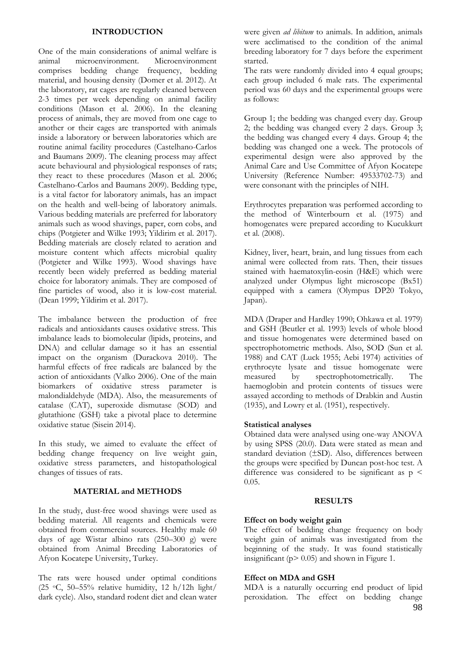#### **INTRODUCTION**

One of the main considerations of animal welfare is animal microenvironment. Microenvironment comprises bedding change frequency, bedding material, and housing density (Domer et al. 2012). At the laboratory, rat cages are regularly cleaned between 2-3 times per week depending on animal facility conditions (Mason et al. 2006). In the cleaning process of animals, they are moved from one cage to another or their cages are transported with animals inside a laboratory or between laboratories which are routine animal facility procedures (Castelhano-Carlos and Baumans 2009). The cleaning process may affect acute behavioural and physiological responses of rats; they react to these procedures (Mason et al. 2006; Castelhano-Carlos and Baumans 2009). Bedding type, is a vital factor for laboratory animals, has an impact on the health and well-being of laboratory animals. Various bedding materials are preferred for laboratory animals such as wood shavings, paper, corn cobs, and chips (Potgieter and Wilke 1993; Yildirim et al. 2017). Bedding materials are closely related to aeration and moisture content which affects microbial quality (Potgieter and Wilke 1993). Wood shavings have recently been widely preferred as bedding material choice for laboratory animals. They are composed of fine particles of wood, also it is low-cost material. (Dean 1999; Yildirim et al. 2017).

The imbalance between the production of free radicals and antioxidants causes oxidative stress. This imbalance leads to biomolecular (lipids, proteins, and DNA) and cellular damage so it has an essential impact on the organism (Durackova 2010). The harmful effects of free radicals are balanced by the action of antioxidants (Valko 2006). One of the main biomarkers of oxidative stress parameter is malondialdehyde (MDA). Also, the measurements of catalase (CAT), superoxide dismutase (SOD) and glutathione (GSH) take a pivotal place to determine oxidative statue (Sisein 2014).

In this study, we aimed to evaluate the effect of bedding change frequency on live weight gain, oxidative stress parameters, and histopathological changes of tissues of rats.

### **MATERIAL and METHODS**

In the study, dust-free wood shavings were used as bedding material. All reagents and chemicals were obtained from commercial sources. Healthy male 60 days of age Wistar albino rats (250–300 g) were obtained from Animal Breeding Laboratories of Afyon Kocatepe University, Turkey.

The rats were housed under optimal conditions (25  $\,^{\circ}$ C, 50–55% relative humidity, 12 h/12h light/ dark cycle). Also, standard rodent diet and clean water were given *ad libitum* to animals. In addition, animals were acclimatised to the condition of the animal breeding laboratory for 7 days before the experiment started.

The rats were randomly divided into 4 equal groups; each group included 6 male rats. The experimental period was 60 days and the experimental groups were as follows:

Group 1; the bedding was changed every day. Group 2; the bedding was changed every 2 days. Group 3; the bedding was changed every 4 days. Group 4; the bedding was changed one a week. The protocols of experimental design were also approved by the Animal Care and Use Committee of Afyon Kocatepe University (Reference Number: 49533702-73) and were consonant with the principles of NIH.

Erythrocytes preparation was performed according to the method of Winterbourn et al. (1975) and homogenates were prepared according to Kucukkurt et al. (2008).

Kidney, liver, heart, brain, and lung tissues from each animal were collected from rats. Then, their tissues stained with haematoxylin-eosin (H&E) which were analyzed under Olympus light microscope (Bx51) equipped with a camera (Olympus DP20 Tokyo, Japan).

MDA (Draper and Hardley 1990; Ohkawa et al. 1979) and GSH (Beutler et al. 1993) levels of whole blood and tissue homogenates were determined based on spectrophotometric methods. Also, SOD (Sun et al. 1988) and CAT (Luck 1955; Aebi 1974) activities of erythrocyte lysate and tissue homogenate were measured by spectrophotometrically. The haemoglobin and protein contents of tissues were assayed according to methods of Drabkin and Austin (1935), and Lowry et al. (1951), respectively.

#### **Statistical analyses**

Obtained data were analysed using one-way ANOVA by using SPSS (20.0). Data were stated as mean and standard deviation (±SD). Also, differences between the groups were specified by Duncan post-hoc test. A difference was considered to be significant as  $p <$ 0.05.

#### **RESULTS**

#### **Effect on body weight gain**

The effect of bedding change frequency on body weight gain of animals was investigated from the beginning of the study. It was found statistically insignificant ( $p$  > 0.05) and shown in Figure 1.

#### **Effect on MDA and GSH**

MDA is a naturally occurring end product of lipid peroxidation. The effect on bedding change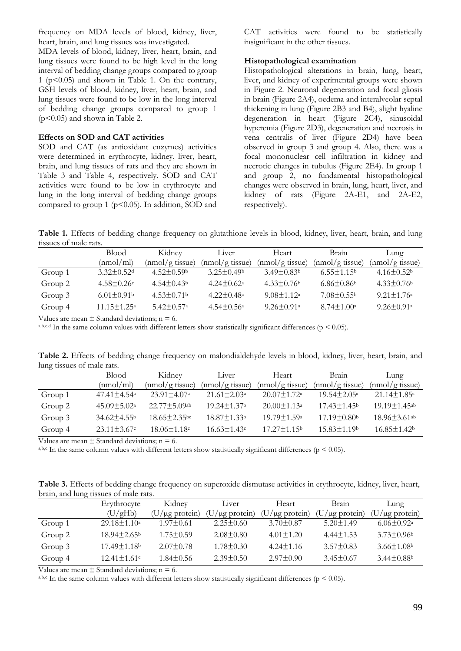frequency on MDA levels of blood, kidney, liver, heart, brain, and lung tissues was investigated.

MDA levels of blood, kidney, liver, heart, brain, and lung tissues were found to be high level in the long interval of bedding change groups compared to group 1 ( $p$ <0.05) and shown in Table 1. On the contrary, GSH levels of blood, kidney, liver, heart, brain, and lung tissues were found to be low in the long interval of bedding change groups compared to group 1  $(p<0.05)$  and shown in Table 2.

#### **Effects on SOD and CAT activities**

SOD and CAT (as antioxidant enzymes) activities were determined in erythrocyte, kidney, liver, heart, brain, and lung tissues of rats and they are shown in Table 3 and Table 4, respectively. SOD and CAT activities were found to be low in erythrocyte and lung in the long interval of bedding change groups compared to group 1 ( $p$ <0.05). In addition, SOD and CAT activities were found to be statistically insignificant in the other tissues.

#### **Histopathological examination**

Histopathological alterations in brain, lung, heart, liver, and kidney of experimental groups were shown in Figure 2. Neuronal degeneration and focal gliosis in brain (Figure 2A4), oedema and interalveolar septal thickening in lung (Figure 2B3 and B4), slight hyaline degeneration in heart (Figure 2C4), sinusoidal hyperemia (Figure 2D3), degeneration and necrosis in vena centralis of liver (Figure 2D4) have been observed in group 3 and group 4. Also, there was a focal mononuclear cell infiltration in kidney and necrotic changes in tubulus (Figure 2E4). In group 1 and group 2, no fundamental histopathological changes were observed in brain, lung, heart, liver, and kidney of rats (Figure 2A-E1, and 2A-E2, respectively).

**Table 1.** Effects of bedding change frequency on glutathione levels in blood, kidney, liver, heart, brain, and lung tissues of male rats.

|         | <b>Blood</b>                 | Kidney                       | Liver                        | Heart                        | <b>Brain</b>                 | Lung                         |
|---------|------------------------------|------------------------------|------------------------------|------------------------------|------------------------------|------------------------------|
|         | (mmol/ml)                    | (mnol/gtissue)               | (mnol/gtissue)               | (mmol/gtissue)               | $(mnol/g$ tissue)            | $(mnol/g$ tissue)            |
| Group 1 | $3.32 \pm 0.52$ <sup>d</sup> | $4.52 \pm 0.59$              | $3.25 \pm 0.49$              | $3.49 \pm 0.83$              | $6.55 \pm 1.15$ <sup>b</sup> | $4.16 \pm 0.52$              |
| Group 2 | $4.58 \pm 0.26$              | $4.54 \pm 0.43$              | $4.24 \pm 0.62^{\circ}$      | $4.33\pm0.76b$               | $6.86\pm0.86b$               | $4.33 \pm 0.76$              |
| Group 3 | $6.01 \pm 0.91$ <sup>b</sup> | $4.53 \pm 0.71$              | $4.22 \pm 0.48^{\circ}$      | $9.08 \pm 1.12^a$            | $7.08 \pm 0.55$              | $9.21 \pm 1.76^a$            |
| Group 4 | $11.15 \pm 1.25^{\circ}$     | $5.42 \pm 0.57$ <sup>a</sup> | $4.54 \pm 0.56$ <sup>a</sup> | $9.26 \pm 0.91$ <sup>a</sup> | $8.74 \pm 1.00^{\circ}$      | $9.26 \pm 0.91$ <sup>a</sup> |

Values are mean  $\pm$  Standard deviations; n = 6.

a,b,c,d In the same column values with different letters show statistically significant differences ( $p < 0.05$ ).

**Table 2.** Effects of bedding change frequency on malondialdehyde levels in blood, kidney, liver, heart, brain, and lung tissues of male rats.

|         | <b>Blood</b>                  | Kidney                   | Liver                    | Heart                         | Brain                    | Lung                           |
|---------|-------------------------------|--------------------------|--------------------------|-------------------------------|--------------------------|--------------------------------|
|         | (nmol/ml)                     | (mmol/gtissue)           | (mmol/gtissue)           | (mmol/gtissue)                | $(mmol/g$ tissue)        | $(mmol/g$ tissue)              |
| Group 1 | $47.41 \pm 4.54$ <sup>a</sup> | $23.91 \pm 4.07^{\circ}$ | $21.61 \pm 2.03^{\circ}$ | $20.07 \pm 1.72$ <sup>a</sup> | $19.54 \pm 2.05^{\circ}$ | $21.14 \pm 1.85$ <sup>a</sup>  |
| Group 2 | $45.09 \pm 5.02^{\mathrm{a}}$ | 22.77±5.09ab             | $19.24 \pm 1.37$ b       | $20.00 \pm 1.13$ <sup>a</sup> | $17.43 \pm 1.45$         | $19.19 \pm 1.45$ ab            |
| Group 3 | $34.62 \pm 4.55$              | $18.65 \pm 2.35$ bc      | 18.87±1.33b              | $19.79 \pm 1.59$ <sup>a</sup> | $17.19 \pm 0.80$         | $18.96 \pm 3.61$ <sup>ab</sup> |
| Group 4 | $23.11 \pm 3.67$ c            | $18.06 \pm 1.18$ c       | $16.63 \pm 1.43$ c       | $17.27 \pm 1.15$              | $15.83 \pm 1.19$         | $16.85 \pm 1.42$               |

Values are mean  $\pm$  Standard deviations; n = 6.

a,b,c In the same column values with different letters show statistically significant differences ( $p < 0.05$ ).

**Table 3.** Effects of bedding change frequency on superoxide dismutase activities in erythrocyte, kidney, liver, heart, brain, and lung tissues of male rats.

|         | Erythrocyte                   | Kidney              | Liver                   | Heart               | <b>Brain</b>       | Lung                         |
|---------|-------------------------------|---------------------|-------------------------|---------------------|--------------------|------------------------------|
|         | (U/gHb)                       | $(U/\mu g$ protein) | U<br>$1/\mu$ g protein) | $(U/\mu g$ protein) | $U/\mu g$ protein) | $(U/\mu g$ protein)          |
| Group 1 | $29.18 \pm 1.10^a$            | $1.97 \pm 0.61$     | $2.25 \pm 0.60$         | $3.70 \pm 0.87$     | $5.20 \pm 1.49$    | $6.06 \pm 0.92$ <sup>a</sup> |
| Group 2 | $18.94 \pm 2.65^{\circ}$      | $1.75 \pm 0.59$     | $2.08 \pm 0.80$         | $4.01 \pm 1.20$     | $4.44 \pm 1.53$    | $3.73 \pm 0.96$              |
| Group 3 | 17.49±1.18 <sup>b</sup>       | $2.07 \pm 0.78$     | $1.78 \pm 0.30$         | $4.24 \pm 1.16$     | $3.57 \pm 0.83$    | $3.66 \pm 1.08$              |
| Group 4 | $12.41 \pm 1.61$ <sup>c</sup> | $1.84 \pm 0.56$     | $2.39 \pm 0.50$         | $2.97 \pm 0.90$     | $3.45 \pm 0.67$    | $3.44\pm0.88b$               |

Values are mean  $\pm$  Standard deviations; n = 6.

a,b,c In the same column values with different letters show statistically significant differences ( $p < 0.05$ ).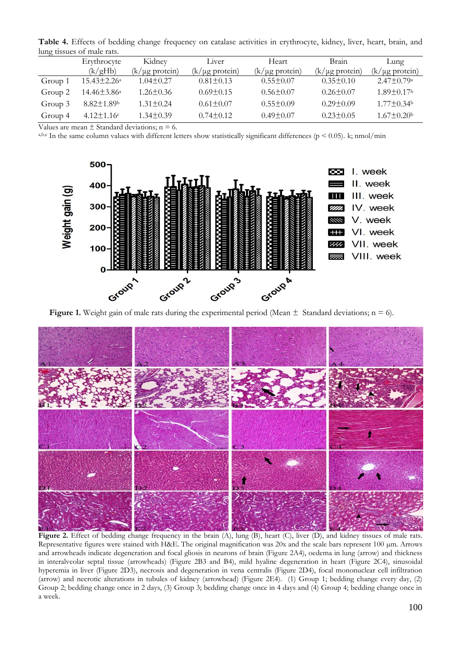**Table 4.** Effects of bedding change frequency on catalase activities in erythrocyte, kidney, liver, heart, brain, and lung tissues of male rats.

|         | Erythrocyte                  | Kidney              | Liver               | Heart               | Brain               | Lung                         |  |  |
|---------|------------------------------|---------------------|---------------------|---------------------|---------------------|------------------------------|--|--|
|         | (k/gHb)                      | $(k/\mu g$ protein) | $(k/\mu g$ protein) | $(k/\mu g$ protein) | $(k/\mu g$ protein) | $(k/\mu g$ protein)          |  |  |
| Group 1 | 15.43±2.26 <sup>a</sup>      | $1.04 \pm 0.27$     | $0.81 \pm 0.13$     | $0.55 \pm 0.07$     | $0.35 \pm 0.10$     | $2.47 \pm 0.79$ <sup>a</sup> |  |  |
| Group 2 | 14.46±3.86ª                  | $1.26 \pm 0.36$     | $0.69 \pm 0.15$     | $0.56 \pm 0.07$     | $0.26 \pm 0.07$     | $1.89 \pm 0.17$ <sup>b</sup> |  |  |
| Group 3 | $8.82 \pm 1.89$ <sup>b</sup> | $1.31 \pm 0.24$     | $0.61 \pm 0.07$     | $0.55 \pm 0.09$     | $0.29 \pm 0.09$     | $1.77 \pm 0.34$ b            |  |  |
| Group 4 | $4.12 \pm 1.16$ c            | $1.34 \pm 0.39$     | $0.74 \pm 0.12$     | $0.49 \pm 0.07$     | $0.23 \pm 0.05$     | $1.67 \pm 0.20$ <sup>b</sup> |  |  |

Values are mean  $\pm$  Standard deviations; n = 6.

a,b,c In the same column values with different letters show statistically significant differences ( $p < 0.05$ ). k; nmol/min



**Figure 1.** Weight gain of male rats during the experimental period (Mean  $\pm$  Standard deviations; n = 6).



Figure 2. Effect of bedding change frequency in the brain (A), lung (B), heart (C), liver (D), and kidney tissues of male rats. Representative figures were stained with H&E. The original magnification was 20x and the scale bars represent 100 µm. Arrows and arrowheads indicate degeneration and focal gliosis in neurons of brain (Figure 2A4), oedema in lung (arrow) and thickness in interalveolar septal tissue (arrowheads) (Figure 2B3 and B4), mild hyaline degeneration in heart (Figure 2C4), sinusoidal hyperemia in liver (Figure 2D3), necrosis and degeneration in vena centralis (Figure 2D4), focal mononuclear cell infiltration (arrow) and necrotic alterations in tubules of kidney (arrowhead) (Figure 2E4). (1) Group 1; bedding change every day, (2) Group 2; bedding change once in 2 days, (3) Group 3; bedding change once in 4 days and (4) Group 4; bedding change once in a week.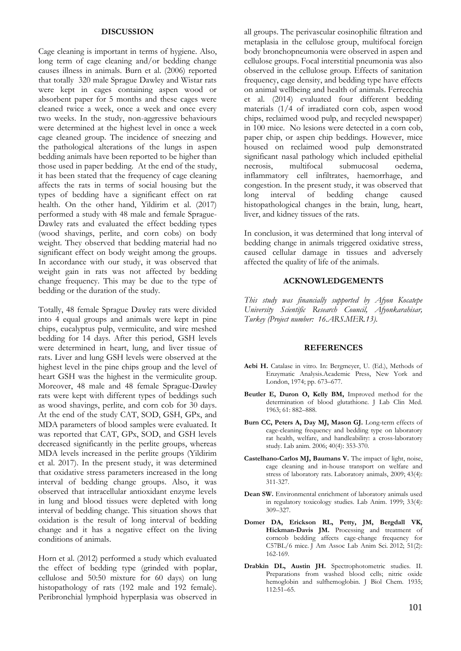#### **DISCUSSION**

Cage cleaning is important in terms of hygiene. Also, long term of cage cleaning and/or bedding change causes illness in animals. Burn et al. (2006) reported that totally 320 male Sprague Dawley and Wistar rats were kept in cages containing aspen wood or absorbent paper for 5 months and these cages were cleaned twice a week, once a week and once every two weeks. In the study, non-aggressive behaviours were determined at the highest level in once a week cage cleaned group. The incidence of sneezing and the pathological alterations of the lungs in aspen bedding animals have been reported to be higher than those used in paper bedding. At the end of the study, it has been stated that the frequency of cage cleaning affects the rats in terms of social housing but the types of bedding have a significant effect on rat health. On the other hand, Yildirim et al. (2017) performed a study with 48 male and female Sprague-Dawley rats and evaluated the effect bedding types (wood shavings, perlite, and corn cobs) on body weight. They observed that bedding material had no significant effect on body weight among the groups. In accordance with our study, it was observed that weight gain in rats was not affected by bedding change frequency. This may be due to the type of bedding or the duration of the study.

Totally, 48 female Sprague Dawley rats were divided into 4 equal groups and animals were kept in pine chips, eucalyptus pulp, vermiculite, and wire meshed bedding for 14 days. After this period, GSH levels were determined in heart, lung, and liver tissue of rats. Liver and lung GSH levels were observed at the highest level in the pine chips group and the level of heart GSH was the highest in the vermiculite group. Moreover, 48 male and 48 female Sprague-Dawley rats were kept with different types of beddings such as wood shavings, perlite, and corn cob for 30 days. At the end of the study CAT, SOD, GSH, GPx, and MDA parameters of blood samples were evaluated. It was reported that CAT, GPx, SOD, and GSH levels decreased significantly in the perlite groups, whereas MDA levels increased in the perlite groups (Yildirim et al. 2017). In the present study, it was determined that oxidative stress parameters increased in the long interval of bedding change groups. Also, it was observed that intracellular antioxidant enzyme levels in lung and blood tissues were depleted with long interval of bedding change. This situation shows that oxidation is the result of long interval of bedding change and it has a negative effect on the living conditions of animals.

Horn et al. (2012) performed a study which evaluated the effect of bedding type (grinded with poplar, cellulose and 50:50 mixture for 60 days) on lung histopathology of rats (192 male and 192 female). Peribronchial lymphoid hyperplasia was observed in

all groups. The perivascular eosinophilic filtration and metaplasia in the cellulose group, multifocal foreign body bronchopneumonia were observed in aspen and cellulose groups. Focal interstitial pneumonia was also observed in the cellulose group. Effects of sanitation frequency, cage density, and bedding type have effects on animal wellbeing and health of animals. Ferrecchia et al. (2014) evaluated four different bedding materials (1/4 of irradiated corn cob, aspen wood chips, reclaimed wood pulp, and recycled newspaper) in 100 mice. No lesions were detected in a corn cob, paper chip, or aspen chip beddings. However, mice housed on reclaimed wood pulp demonstrated significant nasal pathology which included epithelial necrosis, multifocal submucosal oedema, inflammatory cell infiltrates, haemorrhage, and congestion. In the present study, it was observed that long interval of bedding change caused histopathological changes in the brain, lung, heart, liver, and kidney tissues of the rats.

In conclusion, it was determined that long interval of bedding change in animals triggered oxidative stress, caused cellular damage in tissues and adversely affected the quality of life of the animals.

#### **ACKNOWLEDGEMENTS**

*This study was financially supported by Afyon Kocatepe University Scientific Research Council, Afyonkarahisar, Turkey (Project number: 16.ARS.MER.13).*

#### **REFERENCES**

- **Aebi H.** Catalase in vitro. In: Bergmeyer, U. (Ed.), Methods of Enzymatic Analysis.Academic Press, New York and London, 1974; pp. 673–677.
- **Beutler E, Duron O, Kelly BM,** Improved method for the determination of blood glutathione. J Lab Clin Med. 1963; 61: 882–888.
- **Burn CC, Peters A, Day MJ, Mason GJ.** Long-term effects of cage-cleaning frequency and bedding type on laboratory rat health, welfare, and handleability: a cross-laboratory study. Lab anim. 2006; 40(4): 353-370.
- **Castelhano-Carlos MJ, Baumans V.** The impact of light, noise, cage cleaning and in-house transport on welfare and stress of laboratory rats. Laboratory animals, 2009; 43(4): 311-327.
- **Dean SW.** Environmental enrichment of laboratory animals used in regulatory toxicology studies. Lab Anim. 1999; 33(4): 309–327.
- **Domer DA, Erickson RL, Petty, JM, Bergdall VK,**  Hickman-Davis JM. Processing and treatment of corncob bedding affects cage-change frequency for C57BL/6 mice. J Am Assoc Lab Anim Sci. 2012; 51(2): 162-169.
- **Drabkin DL, Austin JH.** Spectrophotometric studies. II. Preparations from washed blood cells; nitric oxide hemoglobin and sulfhemoglobin. J Biol Chem. 1935; 112:51–65.